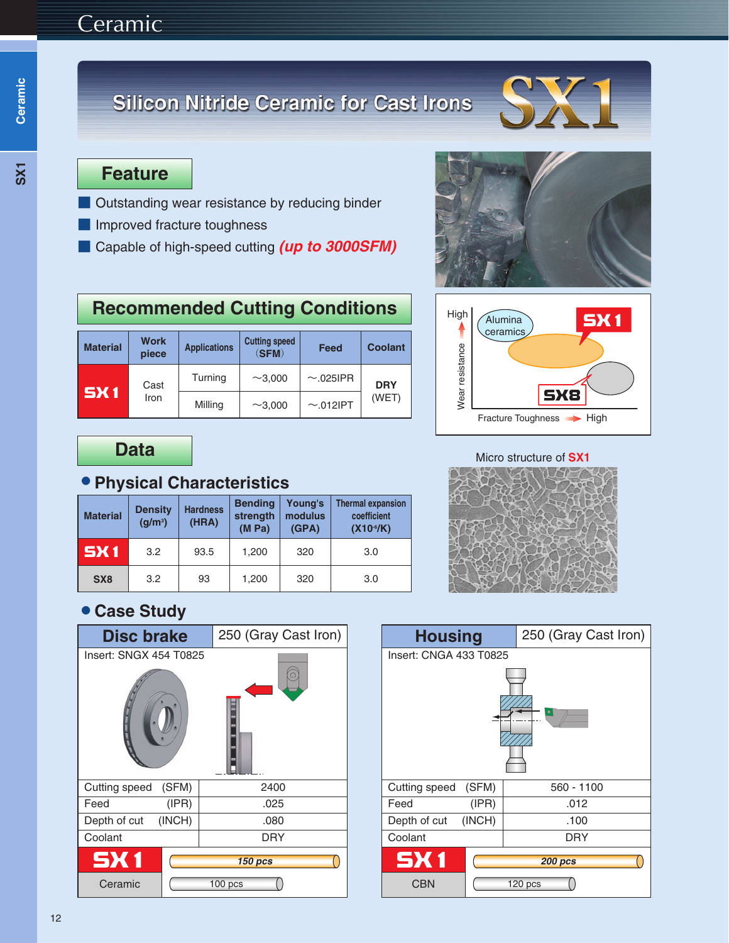# Ceramic

# **Silicon Nitride Ceramic for Cast Irons**



### **Feature**

- Outstanding wear resistance by reducing binder
- Improved fracture toughness
- Capable of high-speed cutting *(up to 3000SFM)*



**SX1** 

## **Recommended Cutting Conditions**

| <b>Material</b> | Work<br>piece | <b>Applications</b> | <b>Cutting speed</b><br>(SFM) | Feed           | <b>Coolant</b> |  |
|-----------------|---------------|---------------------|-------------------------------|----------------|----------------|--|
| <b>SX1</b>      | Cast<br>Iron  | Turning             | $\sim$ 3.000                  | $\sim$ .025IPR | <b>DRY</b>     |  |
|                 |               | Milling             | $~1$ –3,000                   | $\sim$ .012IPT | (WET)          |  |

## **Data**

#### 蘆**Physical Characteristics**

| <b>Material</b> | <b>Density</b><br>(g/m <sup>3</sup> ) | <b>Hardness</b><br>(HRA) | <b>Bending</b><br>strength<br>(M Pa) | Young's<br>modulus<br>(GPA) | <b>Thermal expansion</b><br>coefficient<br>(X10 <sup>6</sup> /K) |  |  |
|-----------------|---------------------------------------|--------------------------|--------------------------------------|-----------------------------|------------------------------------------------------------------|--|--|
| <b>SX1</b>      | 3.2                                   | 93.5                     | 1,200                                | 320                         | 3.0                                                              |  |  |
| SX <sub>8</sub> | 3.2                                   | 93                       | 1,200                                | 320                         | 3.0                                                              |  |  |

#### Micro structure of **SX1**

Fracture Toughness **>>** High

**SX8** 

Wear resistance

Wear resistance

High

 $\overline{\phantom{a}}$ 

Alumina **ceramics** 



## 蘆**Case Study**

| <b>Disc brake</b>      |        | 250 (Gray Cast Iron) |  |  |  |  |
|------------------------|--------|----------------------|--|--|--|--|
| Insert: SNGX 454 T0825 |        |                      |  |  |  |  |
| Cutting speed (SFM)    |        | 2400                 |  |  |  |  |
| Feed                   | (IPR)  | .025                 |  |  |  |  |
| Depth of cut           | (INCH) | .080                 |  |  |  |  |
| Coolant                |        | DRY                  |  |  |  |  |
| <b>SX1</b>             |        | <b>150 pcs</b>       |  |  |  |  |
| Ceramic                |        | $100$ pcs            |  |  |  |  |

| <b>Housing</b>         |                    | 250 (Gray Cast Iron) |  |  |  |
|------------------------|--------------------|----------------------|--|--|--|
| Insert: CNGA 433 T0825 |                    |                      |  |  |  |
|                        |                    |                      |  |  |  |
| Cutting speed (SFM)    |                    | 560 - 1100           |  |  |  |
| Feed                   | (IPR)              | .012                 |  |  |  |
| Depth of cut           | (INCH)             | .100                 |  |  |  |
| Coolant                |                    | <b>DRY</b>           |  |  |  |
| <b>SX1</b>             | <b>200 pcs</b>     |                      |  |  |  |
| <b>CBN</b>             | 120 <sub>pos</sub> |                      |  |  |  |